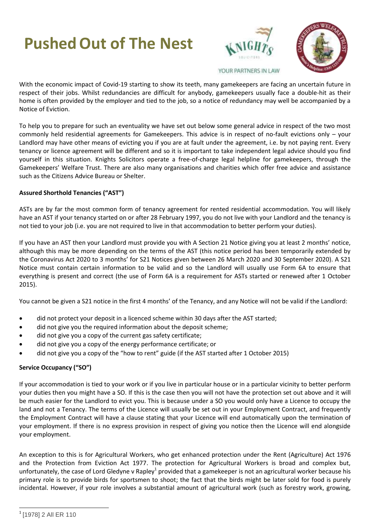# **PushedOut of The Nest**





YOUR PARTNERS IN LAW

With the economic impact of Covid-19 starting to show its teeth, many gamekeepers are facing an uncertain future in respect of their jobs. Whilst redundancies are difficult for anybody, gamekeepers usually face a double-hit as their home is often provided by the employer and tied to the job, so a notice of redundancy may well be accompanied by a Notice of Eviction.

To help you to prepare for such an eventuality we have set out below some general advice in respect of the two most commonly held residential agreements for Gamekeepers. This advice is in respect of no-fault evictions only – your Landlord may have other means of evicting you if you are at fault under the agreement, i.e. by not paying rent. Every tenancy or licence agreement will be different and so it is important to take independent legal advice should you find yourself in this situation. Knights Solicitors operate a free-of-charge legal helpline for gamekeepers, through the Gamekeepers' Welfare Trust. There are also many organisations and charities which offer free advice and assistance such as the Citizens Advice Bureau or Shelter.

### **Assured Shorthold Tenancies ("AST")**

ASTs are by far the most common form of tenancy agreement for rented residential accommodation. You will likely have an AST if your tenancy started on or after 28 February 1997, you do not live with your Landlord and the tenancy is not tied to your job (i.e. you are not required to live in that accommodation to better perform your duties).

If you have an AST then your Landlord must provide you with A Section 21 Notice giving you at least 2 months' notice, although this may be more depending on the terms of the AST (this notice period has been temporarily extended by the Coronavirus Act 2020 to 3 months' for S21 Notices given between 26 March 2020 and 30 September 2020). A S21 Notice must contain certain information to be valid and so the Landlord will usually use Form 6A to ensure that everything is present and correct (the use of Form 6A is a requirement for ASTs started or renewed after 1 October 2015).

You cannot be given a S21 notice in the first 4 months' of the Tenancy, and any Notice will not be valid if the Landlord:

- did not protect your deposit in a licenced scheme within 30 days after the AST started;
- did not give you the required information about the deposit scheme;
- did not give you a copy of the current gas safety certificate;
- did not give you a copy of the energy performance certificate; or
- did not give you a copy of the "how to rent" guide (if the AST started after 1 October 2015)

### **Service Occupancy ("SO")**

If your accommodation is tied to your work or if you live in particular house or in a particular vicinity to better perform your duties then you might have a SO. If this is the case then you will not have the protection set out above and it will be much easier for the Landlord to evict you. This is because under a SO you would only have a Licence to occupy the land and not a Tenancy. The terms of the Licence will usually be set out in your Employment Contract, and frequently the Employment Contract will have a clause stating that your Licence will end automatically upon the termination of your employment. If there is no express provision in respect of giving you notice then the Licence will end alongside your employment.

An exception to this is for Agricultural Workers, who get enhanced protection under the Rent (Agriculture) Act 1976 and the Protection from Eviction Act 1977. The protection for Agricultural Workers is broad and complex but, unfortunately, the case of Lord Gledyne v Rapley<sup>1</sup> provided that a gamekeeper is not an agricultural worker because his primary role is to provide birds for sportsmen to shoot; the fact that the birds might be later sold for food is purely incidental. However, if your role involves a substantial amount of agricultural work (such as forestry work, growing,

 <sup>1</sup> [1978] 2 All ER 110